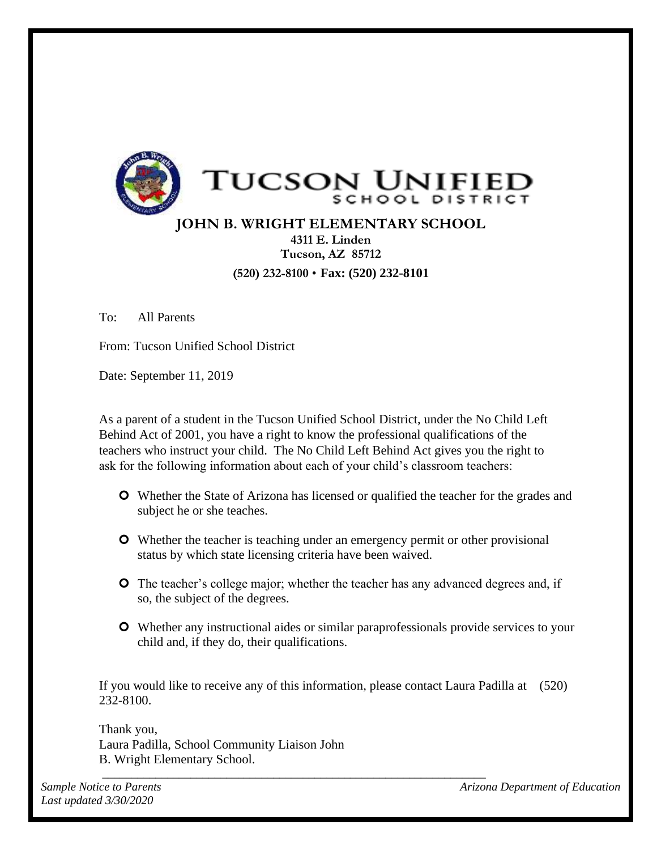

## **JOHN B. WRIGHT ELEMENTARY SCHOOL 4311 E. Linden**

**Tucson, AZ 85712 (520) 232-8100** • **Fax: (520) 232-8101** 

To: All Parents

From: Tucson Unified School District

Date: September 11, 2019

As a parent of a student in the Tucson Unified School District, under the No Child Left Behind Act of 2001, you have a right to know the professional qualifications of the teachers who instruct your child. The No Child Left Behind Act gives you the right to ask for the following information about each of your child's classroom teachers:

- Whether the State of Arizona has licensed or qualified the teacher for the grades and subject he or she teaches.
- Whether the teacher is teaching under an emergency permit or other provisional status by which state licensing criteria have been waived.
- **O** The teacher's college major; whether the teacher has any advanced degrees and, if so, the subject of the degrees.
- Whether any instructional aides or similar paraprofessionals provide services to your child and, if they do, their qualifications.

If you would like to receive any of this information, please contact Laura Padilla at (520) 232-8100.

*\_\_\_\_\_\_\_\_\_\_\_\_\_\_\_\_\_\_\_\_\_\_\_\_\_\_\_\_\_\_\_\_\_\_\_\_\_\_\_\_\_\_\_\_\_\_\_\_\_\_\_\_\_\_\_\_\_\_\_\_\_\_\_\_\_* 

Thank you, Laura Padilla, School Community Liaison John B. Wright Elementary School.

*Sample Notice to Parents Arizona Department of Education*